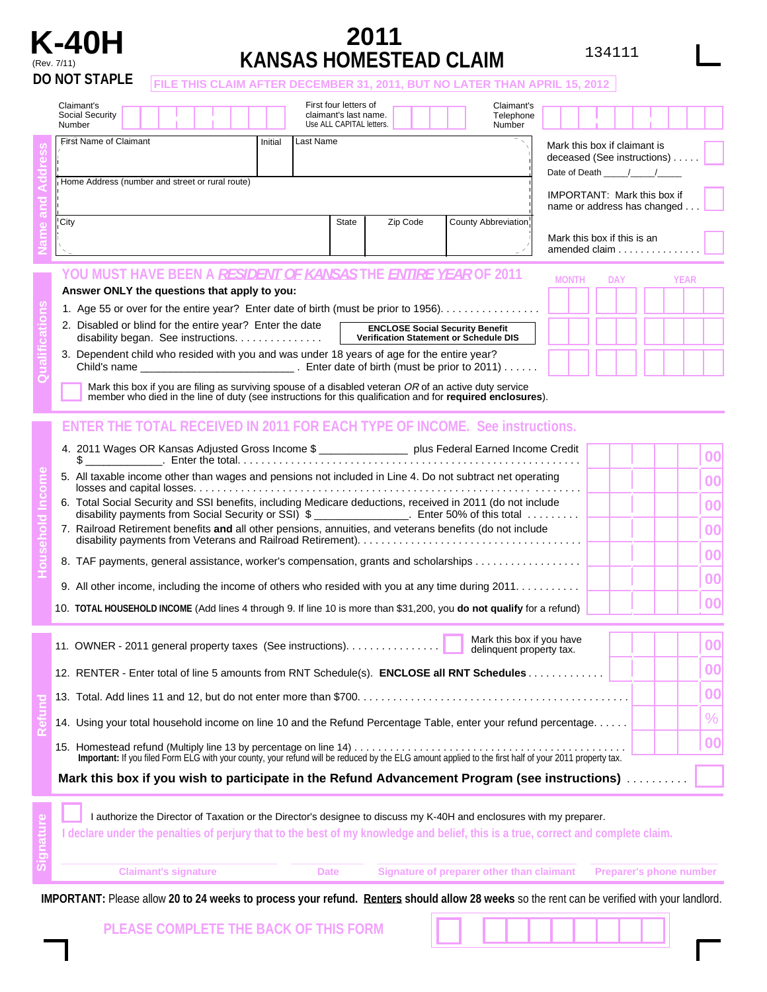

## **K-40H <sup>2011</sup>** (Rev. 7/11) **KANSAS HOMESTEAD CLAIM**

134111

|  | <b>DO NOT STAPLE</b><br>FILE THIS CLAIM AFTER DECEMBER 31, 2011, BUT NO LATER THAN APRIL 15, 2012                                                                                                                                                                                                                                                                                                                            |                                                                                  |            |             |  |  |  |  |  |
|--|------------------------------------------------------------------------------------------------------------------------------------------------------------------------------------------------------------------------------------------------------------------------------------------------------------------------------------------------------------------------------------------------------------------------------|----------------------------------------------------------------------------------|------------|-------------|--|--|--|--|--|
|  | Claimant's<br>First four letters of<br>Claimant's<br>claimant's last name.<br>Social Security<br>Telephone<br>Use ALL CAPITAL letters.<br>Number<br>Number                                                                                                                                                                                                                                                                   |                                                                                  |            |             |  |  |  |  |  |
|  | First Name of Claimant<br>Last Name<br>Initial<br>Home Address (number and street or rural route)                                                                                                                                                                                                                                                                                                                            | Mark this box if claimant is<br>deceased (See instructions)<br>Date of Death / / |            |             |  |  |  |  |  |
|  |                                                                                                                                                                                                                                                                                                                                                                                                                              | <b>IMPORTANT: Mark this box if</b><br>name or address has changed.               |            |             |  |  |  |  |  |
|  | <b>State</b><br>County Abbreviation<br>City<br>Zip Code                                                                                                                                                                                                                                                                                                                                                                      | Mark this box if this is an<br>amended claim $\ldots \ldots \ldots \ldots$       |            |             |  |  |  |  |  |
|  | YOU MUST HAVE BEEN A <i>RESIDENT OF KANSAS</i> THE <i>ENTIRE YEAR</i> OF 2011                                                                                                                                                                                                                                                                                                                                                | <b>MONTH</b>                                                                     | <b>DAY</b> | <b>YEAR</b> |  |  |  |  |  |
|  | Answer ONLY the questions that apply to you:<br>1. Age 55 or over for the entire year? Enter date of birth (must be prior to 1956).                                                                                                                                                                                                                                                                                          |                                                                                  |            |             |  |  |  |  |  |
|  |                                                                                                                                                                                                                                                                                                                                                                                                                              |                                                                                  |            |             |  |  |  |  |  |
|  | 3. Dependent child who resided with you and was under 18 years of age for the entire year?                                                                                                                                                                                                                                                                                                                                   |                                                                                  |            |             |  |  |  |  |  |
|  | Mark this box if you are filing as surviving spouse of a disabled veteran OR of an active duty service<br>member who died in the line of duty (see instructions for this qualification and for required enclosures).                                                                                                                                                                                                         |                                                                                  |            |             |  |  |  |  |  |
|  | <b>ENTER THE TOTAL RECEIVED IN 2011 FOR EACH TYPE OF INCOME. See instructions.</b>                                                                                                                                                                                                                                                                                                                                           |                                                                                  |            |             |  |  |  |  |  |
|  | 4. 2011 Wages OR Kansas Adjusted Gross Income \$ __________________ plus Federal Earned Income Credit<br>$\frac{1}{2}$ $\frac{1}{2}$ $\frac{1}{2}$ $\frac{1}{2}$ $\frac{1}{2}$ $\frac{1}{2}$ $\frac{1}{2}$ $\frac{1}{2}$ $\frac{1}{2}$ $\frac{1}{2}$ $\frac{1}{2}$ $\frac{1}{2}$ $\frac{1}{2}$ $\frac{1}{2}$ $\frac{1}{2}$ $\frac{1}{2}$ $\frac{1}{2}$ $\frac{1}{2}$ $\frac{1}{2}$ $\frac{1}{2}$ $\frac{1}{2}$ $\frac{1}{2}$ |                                                                                  |            | 00          |  |  |  |  |  |
|  | 5. All taxable income other than wages and pensions not included in Line 4. Do not subtract net operating                                                                                                                                                                                                                                                                                                                    |                                                                                  |            | 00          |  |  |  |  |  |
|  | 6. Total Social Security and SSI benefits, including Medicare deductions, received in 2011 (do not include<br>disability payments from Social Security or SSI) \$ ________________. Enter 50% of this total                                                                                                                                                                                                                  |                                                                                  |            | 00          |  |  |  |  |  |
|  | 7. Railroad Retirement benefits and all other pensions, annuities, and veterans benefits (do not include                                                                                                                                                                                                                                                                                                                     |                                                                                  |            |             |  |  |  |  |  |
|  | 8. TAF payments, general assistance, worker's compensation, grants and scholarships                                                                                                                                                                                                                                                                                                                                          |                                                                                  |            | 00          |  |  |  |  |  |
|  | 9. All other income, including the income of others who resided with you at any time during 2011                                                                                                                                                                                                                                                                                                                             |                                                                                  |            | 00          |  |  |  |  |  |
|  | 10. TOTAL HOUSEHOLD INCOME (Add lines 4 through 9. If line 10 is more than \$31,200, you do not qualify for a refund)                                                                                                                                                                                                                                                                                                        |                                                                                  |            | 00          |  |  |  |  |  |
|  | Mark this box if you have<br>delinquent property tax.                                                                                                                                                                                                                                                                                                                                                                        |                                                                                  |            | 00          |  |  |  |  |  |
|  | 12. RENTER - Enter total of line 5 amounts from RNT Schedule(s). <b>ENCLOSE all RNT Schedules</b>                                                                                                                                                                                                                                                                                                                            |                                                                                  |            | 00          |  |  |  |  |  |

14. Using your total household income on line 10 and the Refund Percentage Table, enter your refund percentage. . . . . .  $\frac{1}{2}$ . **00 Signature Mark this box if you wish to participate in the Refund Advancement Program (see instructions)** .......... I authorize the Director of Taxation or the Director's designee to discuss my K-40H and enclosures with my preparer. 15. Homestead refund (Multiply line 13 by percentage on line 14) . . ... . . . . ... . . ... . . ... . . ... . . ... . . ... . . ... . . . . **Important:** If you filed Form ELG with your county, your refund will be reduced by the ELG amount applied to the first half of your 2011 property tax.

I declare under the penalties of perjury that to the best of my knowledge and belief, this is a true, correct and complete claim.

**Claimant's signature The Claimant's signature Claimant Preparer's phone number Claimant Preparer's phone number** 

.

**00** 

IMPORTANT: Please allow 20 to 24 weeks to process your refund. Renters should allow 28 weeks so the rent can be verified with your landlord.

**PLEASE COMPLETE THE BACK OF THIS FORM**

13. Total. Add lines 11 and 12, but do not enter more than \$700. . ... . . . . ... . . ... . . ... . . ... . . ... . . ... . . ... . . . .